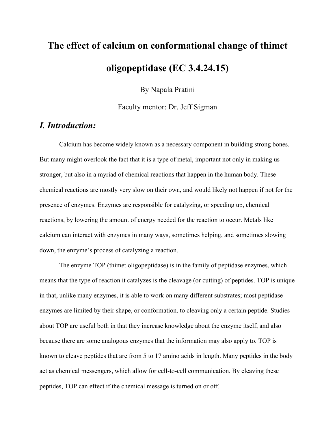# **The effect of calcium on conformational change of thimet oligopeptidase (EC 3.4.24.15)**

By Napala Pratini

Faculty mentor: Dr. Jeff Sigman

# *I. Introduction:*

Calcium has become widely known as a necessary component in building strong bones. But many might overlook the fact that it is a type of metal, important not only in making us stronger, but also in a myriad of chemical reactions that happen in the human body. These chemical reactions are mostly very slow on their own, and would likely not happen if not for the presence of enzymes. Enzymes are responsible for catalyzing, or speeding up, chemical reactions, by lowering the amount of energy needed for the reaction to occur. Metals like calcium can interact with enzymes in many ways, sometimes helping, and sometimes slowing down, the enzyme's process of catalyzing a reaction.

The enzyme TOP (thimet oligopeptidase) is in the family of peptidase enzymes, which means that the type of reaction it catalyzes is the cleavage (or cutting) of peptides. TOP is unique in that, unlike many enzymes, it is able to work on many different substrates; most peptidase enzymes are limited by their shape, or conformation, to cleaving only a certain peptide. Studies about TOP are useful both in that they increase knowledge about the enzyme itself, and also because there are some analogous enzymes that the information may also apply to. TOP is known to cleave peptides that are from 5 to 17 amino acids in length. Many peptides in the body act as chemical messengers, which allow for cell-to-cell communication. By cleaving these peptides, TOP can effect if the chemical message is turned on or off.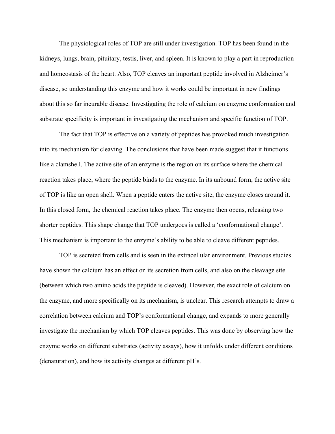The physiological roles of TOP are still under investigation. TOP has been found in the kidneys, lungs, brain, pituitary, testis, liver, and spleen. It is known to play a part in reproduction and homeostasis of the heart. Also, TOP cleaves an important peptide involved in Alzheimer's disease, so understanding this enzyme and how it works could be important in new findings about this so far incurable disease. Investigating the role of calcium on enzyme conformation and substrate specificity is important in investigating the mechanism and specific function of TOP.

The fact that TOP is effective on a variety of peptides has provoked much investigation into its mechanism for cleaving. The conclusions that have been made suggest that it functions like a clamshell. The active site of an enzyme is the region on its surface where the chemical reaction takes place, where the peptide binds to the enzyme. In its unbound form, the active site of TOP is like an open shell. When a peptide enters the active site, the enzyme closes around it. In this closed form, the chemical reaction takes place. The enzyme then opens, releasing two shorter peptides. This shape change that TOP undergoes is called a 'conformational change'. This mechanism is important to the enzyme's ability to be able to cleave different peptides.

TOP is secreted from cells and is seen in the extracellular environment. Previous studies have shown the calcium has an effect on its secretion from cells, and also on the cleavage site (between which two amino acids the peptide is cleaved). However, the exact role of calcium on the enzyme, and more specifically on its mechanism, is unclear. This research attempts to draw a correlation between calcium and TOP's conformational change, and expands to more generally investigate the mechanism by which TOP cleaves peptides. This was done by observing how the enzyme works on different substrates (activity assays), how it unfolds under different conditions (denaturation), and how its activity changes at different pH's.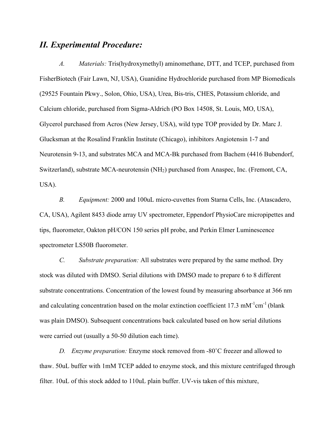## *II. Experimental Procedure:*

*A. Materials:* Tris(hydroxymethyl) aminomethane, DTT, and TCEP, purchased from FisherBiotech (Fair Lawn, NJ, USA), Guanidine Hydrochloride purchased from MP Biomedicals (29525 Fountain Pkwy., Solon, Ohio, USA), Urea, Bis-tris, CHES, Potassium chloride, and Calcium chloride, purchased from Sigma-Aldrich (PO Box 14508, St. Louis, MO, USA), Glycerol purchased from Acros (New Jersey, USA), wild type TOP provided by Dr. Marc J. Glucksman at the Rosalind Franklin Institute (Chicago), inhibitors Angiotensin 1-7 and Neurotensin 9-13, and substrates MCA and MCA-Bk purchased from Bachem (4416 Bubendorf, Switzerland), substrate MCA-neurotensin (NH2) purchased from Anaspec, Inc. (Fremont, CA, USA).

*B. Equipment:* 2000 and 100uL micro-cuvettes from Starna Cells, Inc. (Atascadero, CA, USA), Agilent 8453 diode array UV spectrometer, Eppendorf PhysioCare micropipettes and tips, fluorometer, Oakton pH/CON 150 series pH probe, and Perkin Elmer Luminescence spectrometer LS50B fluorometer.

*C. Substrate preparation:* All substrates were prepared by the same method. Dry stock was diluted with DMSO. Serial dilutions with DMSO made to prepare 6 to 8 different substrate concentrations. Concentration of the lowest found by measuring absorbance at 366 nm and calculating concentration based on the molar extinction coefficient 17.3 mM<sup>-1</sup>cm<sup>-1</sup> (blank was plain DMSO). Subsequent concentrations back calculated based on how serial dilutions were carried out (usually a 50-50 dilution each time).

*D. Enzyme preparation:* Enzyme stock removed from -80˚C freezer and allowed to thaw. 50uL buffer with 1mM TCEP added to enzyme stock, and this mixture centrifuged through filter. 10uL of this stock added to 110uL plain buffer. UV-vis taken of this mixture,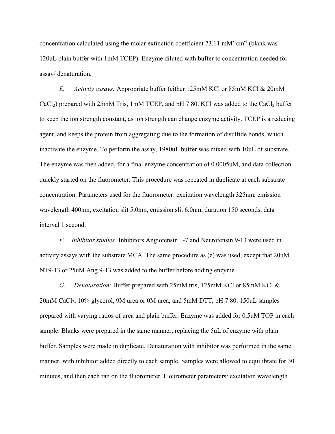concentration calculated using the molar extinction coefficient  $73.11 \text{ mM}^{-1} \text{cm}^{-1}$  (blank was 120uL plain buffer with 1mM TCEP). Enzyme diluted with buffer to concentration needed for assay/ denaturation.

*E. Activity assays:* Appropriate buffer (either 125mM KCl or 85mM KCl & 20mM  $CaCl<sub>2</sub>$ ) prepared with 25mM Tris, 1mM TCEP, and pH 7.80. KCl was added to the CaCl<sub>2</sub> buffer to keep the ion strength constant, as ion strength can change enzyme activity. TCEP is a reducing agent, and keeps the protein from aggregating due to the formation of disulfide bonds, which inactivate the enzyme. To perform the assay, 1980uL buffer was mixed with 10uL of substrate. The enzyme was then added, for a final enzyme concentration of 0.0005uM, and data collection quickly started on the fluorometer. This procedure was repeated in duplicate at each substrate concentration. Parameters used for the fluorometer: excitation wavelength 325nm, emission wavelength 400nm, excitation slit 5.0nm, emission slit 6.0nm, duration 150 seconds, data interval 1 second.

*F. Inhibitor studies:* Inhibitors Angiotensin 1-7 and Neurotensin 9-13 were used in activity assays with the substrate MCA. The same procedure as (e) was used, except that 20uM NT9-13 or 25uM Ang 9-13 was added to the buffer before adding enzyme.

*G. Denaturation:* Buffer prepared with 25mM tris, 125mM KCl or 85mM KCl & 20mM CaCl2, 10% glycerol, 9M urea or 0M urea, and 5mM DTT, pH 7.80. 150uL samples prepared with varying ratios of urea and plain buffer. Enzyme was added for 0.5uM TOP in each sample. Blanks were prepared in the same manner, replacing the 5uL of enzyme with plain buffer. Samples were made in duplicate. Denaturation with inhibitor was performed in the same manner, with inhibitor added directly to each sample. Samples were allowed to equilibrate for 30 minutes, and then each ran on the fluorometer. Flourometer parameters: excitation wavelength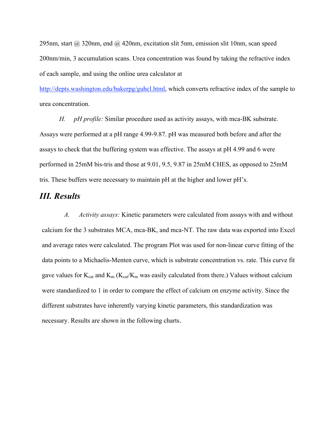295nm, start @ 320nm, end @ 420nm, excitation slit 5nm, emission slit 10nm, scan speed 200nm/min, 3 accumulation scans. Urea concentration was found by taking the refractive index of each sample, and using the online urea calculator at

http://depts.washington.edu/bakerpg/guhcl.html, which converts refractive index of the sample to urea concentration.

*H. pH profile:* Similar procedure used as activity assays, with mca-BK substrate. Assays were performed at a pH range 4.99-9.87. pH was measured both before and after the assays to check that the buffering system was effective. The assays at pH 4.99 and 6 were performed in 25mM bis-tris and those at 9.01, 9.5, 9.87 in 25mM CHES, as opposed to 25mM tris. These buffers were necessary to maintain pH at the higher and lower pH's.

## *III. Results*

*A. Activity assays:* Kinetic parameters were calculated from assays with and without calcium for the 3 substrates MCA, mca-BK, and mca-NT. The raw data was exported into Excel and average rates were calculated. The program Plot was used for non-linear curve fitting of the data points to a Michaelis-Menten curve, which is substrate concentration vs. rate. This curve fit gave values for  $K_{cat}$  and  $K_m$  ( $K_{cat}/K_m$  was easily calculated from there.) Values without calcium were standardized to 1 in order to compare the effect of calcium on enzyme activity. Since the different substrates have inherently varying kinetic parameters, this standardization was necessary. Results are shown in the following charts.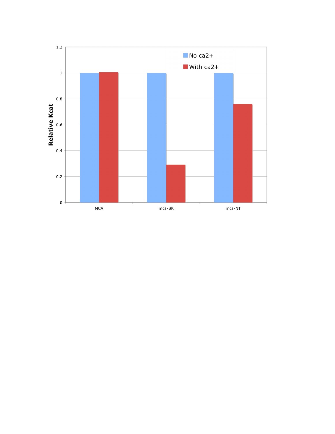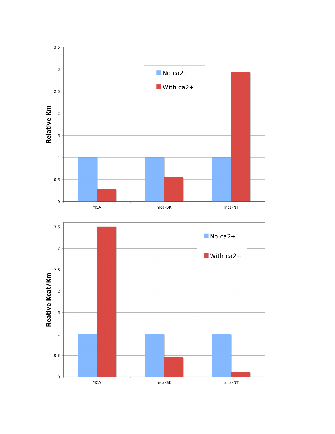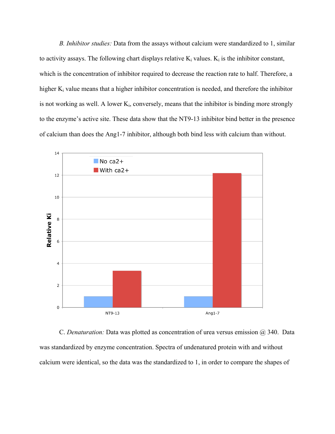*B. Inhibitor studies:* Data from the assays without calcium were standardized to 1, similar to activity assays. The following chart displays relative  $K_i$  values.  $K_i$  is the inhibitor constant, which is the concentration of inhibitor required to decrease the reaction rate to half. Therefore, a higher  $K_i$  value means that a higher inhibitor concentration is needed, and therefore the inhibitor is not working as well. A lower  $K_i$ , conversely, means that the inhibitor is binding more strongly to the enzyme's active site. These data show that the NT9-13 inhibitor bind better in the presence of calcium than does the Ang1-7 inhibitor, although both bind less with calcium than without.



C. *Denaturation:* Data was plotted as concentration of urea versus emission @ 340. Data was standardized by enzyme concentration. Spectra of undenatured protein with and without calcium were identical, so the data was the standardized to 1, in order to compare the shapes of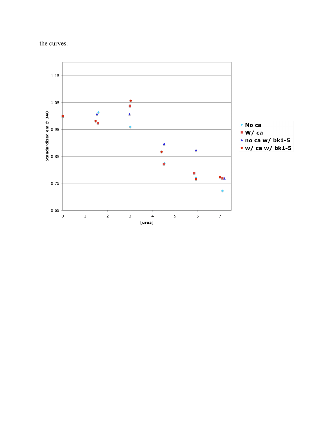the curves.

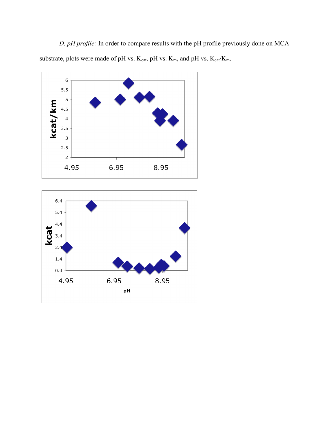*D. pH profile:* In order to compare results with the pH profile previously done on MCA substrate, plots were made of pH vs.  $K_{cat}$ , pH vs.  $K_m$ , and pH vs.  $K_{cat}/K_m$ .



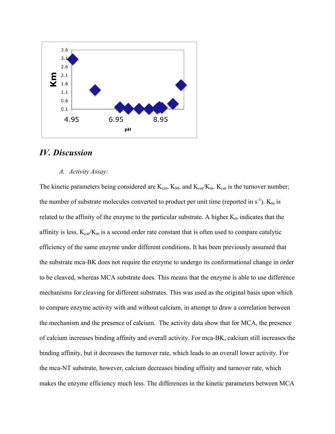

# *IV. Discussion*

#### *A. Activity Assay:*

The kinetic parameters being considered are  $K_{cat}$ ,  $K_M$ , and  $K_{cat}/K_m$ .  $K_{cat}$  is the turnover number; the number of substrate molecules converted to product per unit time (reported in  $s^{-1}$ ).  $K_m$  is related to the affinity of the enzyme to the particular substrate. A higher  $K_m$  indicates that the affinity is less.  $K_{cat}/K_m$  is a second order rate constant that is often used to compare catalytic efficiency of the same enzyme under different conditions. It has been previously assumed that the substrate mca-BK does not require the enzyme to undergo its conformational change in order to be cleaved, whereas MCA substrate does. This means that the enzyme is able to use difference mechanisms for cleaving for different substrates. This was used as the original basis upon which to compare enzyme activity with and without calcium, in attempt to draw a correlation between the mechanism and the presence of calcium. The activity data show that for MCA, the presence of calcium increases binding affinity and overall activity. For mca-BK, calcium still increases the binding affinity, but it decreases the turnover rate, which leads to an overall lower activity. For the mca-NT substrate, however, calcium decreases binding affinity and turnover rate, which makes the enzyme efficiency much less. The differences in the kinetic parameters between MCA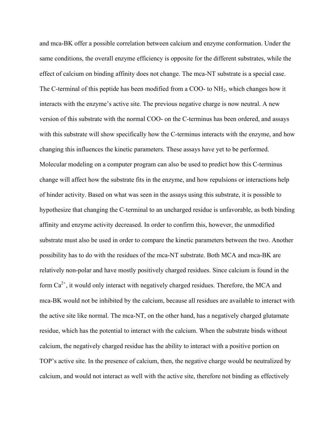and mca-BK offer a possible correlation between calcium and enzyme conformation. Under the same conditions, the overall enzyme efficiency is opposite for the different substrates, while the effect of calcium on binding affinity does not change. The mca-NT substrate is a special case. The C-terminal of this peptide has been modified from a COO- to NH<sub>2</sub>, which changes how it interacts with the enzyme's active site. The previous negative charge is now neutral. A new version of this substrate with the normal COO- on the C-terminus has been ordered, and assays with this substrate will show specifically how the C-terminus interacts with the enzyme, and how changing this influences the kinetic parameters. These assays have yet to be performed. Molecular modeling on a computer program can also be used to predict how this C-terminus change will affect how the substrate fits in the enzyme, and how repulsions or interactions help of hinder activity. Based on what was seen in the assays using this substrate, it is possible to hypothesize that changing the C-terminal to an uncharged residue is unfavorable, as both binding affinity and enzyme activity decreased. In order to confirm this, however, the unmodified substrate must also be used in order to compare the kinetic parameters between the two. Another possibility has to do with the residues of the mca-NT substrate. Both MCA and mca-BK are relatively non-polar and have mostly positively charged residues. Since calcium is found in the form  $Ca<sup>2+</sup>$ , it would only interact with negatively charged residues. Therefore, the MCA and mca-BK would not be inhibited by the calcium, because all residues are available to interact with the active site like normal. The mca-NT, on the other hand, has a negatively charged glutamate residue, which has the potential to interact with the calcium. When the substrate binds without calcium, the negatively charged residue has the ability to interact with a positive portion on TOP's active site. In the presence of calcium, then, the negative charge would be neutralized by calcium, and would not interact as well with the active site, therefore not binding as effectively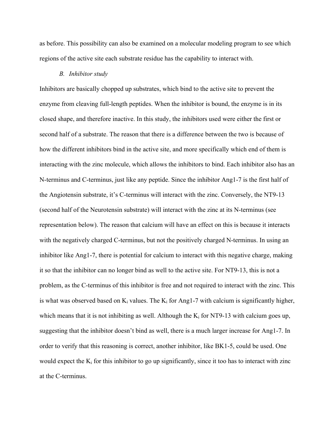as before. This possibility can also be examined on a molecular modeling program to see which regions of the active site each substrate residue has the capability to interact with.

#### *B. Inhibitor study*

Inhibitors are basically chopped up substrates, which bind to the active site to prevent the enzyme from cleaving full-length peptides. When the inhibitor is bound, the enzyme is in its closed shape, and therefore inactive. In this study, the inhibitors used were either the first or second half of a substrate. The reason that there is a difference between the two is because of how the different inhibitors bind in the active site, and more specifically which end of them is interacting with the zinc molecule, which allows the inhibitors to bind. Each inhibitor also has an N-terminus and C-terminus, just like any peptide. Since the inhibitor Ang1-7 is the first half of the Angiotensin substrate, it's C-terminus will interact with the zinc. Conversely, the NT9-13 (second half of the Neurotensin substrate) will interact with the zinc at its N-terminus (see representation below). The reason that calcium will have an effect on this is because it interacts with the negatively charged C-terminus, but not the positively charged N-terminus. In using an inhibitor like Ang1-7, there is potential for calcium to interact with this negative charge, making it so that the inhibitor can no longer bind as well to the active site. For NT9-13, this is not a problem, as the C-terminus of this inhibitor is free and not required to interact with the zinc. This is what was observed based on  $K_i$  values. The  $K_i$  for Ang1-7 with calcium is significantly higher, which means that it is not inhibiting as well. Although the  $K_i$  for NT9-13 with calcium goes up, suggesting that the inhibitor doesn't bind as well, there is a much larger increase for Ang1-7. In order to verify that this reasoning is correct, another inhibitor, like BK1-5, could be used. One would expect the  $K_i$  for this inhibitor to go up significantly, since it too has to interact with zinc at the C-terminus.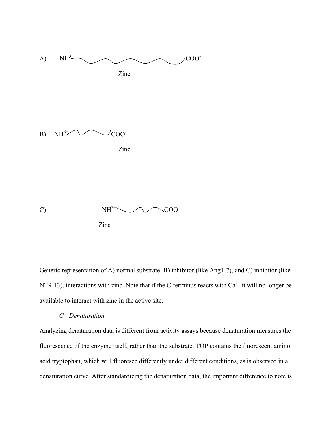

Generic representation of A) normal substrate, B) inhibitor (like Ang1-7), and C) inhibitor (like NT9-13), interactions with zinc. Note that if the C-terminus reacts with  $Ca^{2+}$  it will no longer be available to interact with zinc in the active site.

#### *C. Denaturation*

Analyzing denaturation data is different from activity assays because denaturation measures the fluorescence of the enzyme itself, rather than the substrate. TOP contains the fluorescent amino acid tryptophan, which will fluoresce differently under different conditions, as is observed in a denaturation curve. After standardizing the denaturation data, the important difference to note is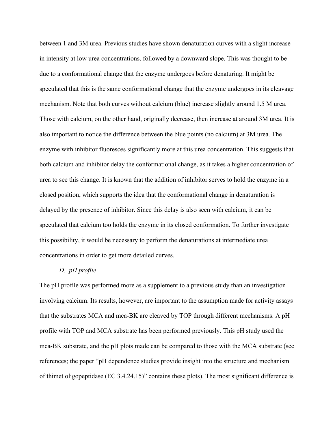between 1 and 3M urea. Previous studies have shown denaturation curves with a slight increase in intensity at low urea concentrations, followed by a downward slope. This was thought to be due to a conformational change that the enzyme undergoes before denaturing. It might be speculated that this is the same conformational change that the enzyme undergoes in its cleavage mechanism. Note that both curves without calcium (blue) increase slightly around 1.5 M urea. Those with calcium, on the other hand, originally decrease, then increase at around 3M urea. It is also important to notice the difference between the blue points (no calcium) at 3M urea. The enzyme with inhibitor fluoresces significantly more at this urea concentration. This suggests that both calcium and inhibitor delay the conformational change, as it takes a higher concentration of urea to see this change. It is known that the addition of inhibitor serves to hold the enzyme in a closed position, which supports the idea that the conformational change in denaturation is delayed by the presence of inhibitor. Since this delay is also seen with calcium, it can be speculated that calcium too holds the enzyme in its closed conformation. To further investigate this possibility, it would be necessary to perform the denaturations at intermediate urea concentrations in order to get more detailed curves.

### *D. pH profile*

The pH profile was performed more as a supplement to a previous study than an investigation involving calcium. Its results, however, are important to the assumption made for activity assays that the substrates MCA and mca-BK are cleaved by TOP through different mechanisms. A pH profile with TOP and MCA substrate has been performed previously. This pH study used the mca-BK substrate, and the pH plots made can be compared to those with the MCA substrate (see references; the paper "pH dependence studies provide insight into the structure and mechanism of thimet oligopeptidase (EC 3.4.24.15)" contains these plots). The most significant difference is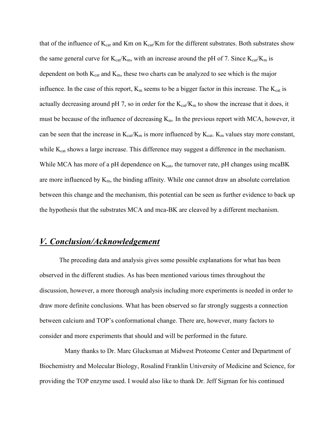that of the influence of  $K_{cat}$  and Km on  $K_{cat}/Km$  for the different substrates. Both substrates show the same general curve for  $K_{cat}/K_m$ , with an increase around the pH of 7. Since  $K_{cat}/K_m$  is dependent on both  $K_{cat}$  and  $K_{m}$ , these two charts can be analyzed to see which is the major influence. In the case of this report,  $K_m$  seems to be a bigger factor in this increase. The  $K_{cat}$  is actually decreasing around pH 7, so in order for the  $K_{cat}/K_m$  to show the increase that it does, it must be because of the influence of decreasing  $K_m$ . In the previous report with MCA, however, it can be seen that the increase in  $K_{cat}/K_m$  is more influenced by  $K_{cat}$ .  $K_m$  values stay more constant, while  $K_{cat}$  shows a large increase. This difference may suggest a difference in the mechanism. While MCA has more of a pH dependence on  $K_{cat}$ , the turnover rate, pH changes using mcaBK are more influenced by  $K_m$ , the binding affinity. While one cannot draw an absolute correlation between this change and the mechanism, this potential can be seen as further evidence to back up the hypothesis that the substrates MCA and mca-BK are cleaved by a different mechanism.

# *V. Conclusion/Acknowledgement*

The preceding data and analysis gives some possible explanations for what has been observed in the different studies. As has been mentioned various times throughout the discussion, however, a more thorough analysis including more experiments is needed in order to draw more definite conclusions. What has been observed so far strongly suggests a connection between calcium and TOP's conformational change. There are, however, many factors to consider and more experiments that should and will be performed in the future.

Many thanks to Dr. Marc Glucksman at Midwest Proteome Center and Department of Biochemistry and Molecular Biology, Rosalind Franklin University of Medicine and Science, for providing the TOP enzyme used. I would also like to thank Dr. Jeff Sigman for his continued